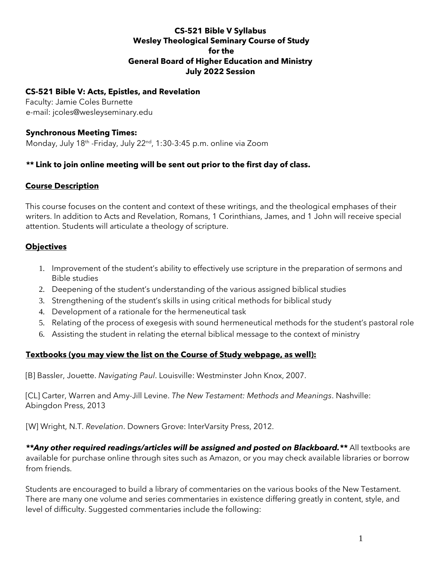### **CS-521 Bible V Syllabus Wesley Theological Seminary Course of Study for the General Board of Higher Education and Ministry July 2022 Session**

#### **CS-521 Bible V: Acts, Epistles, and Revelation**

Faculty: Jamie Coles Burnette e-mail: jcoles@wesleyseminary.edu

#### **Synchronous Meeting Times:**

Monday, July 18<sup>th</sup> -Friday, July 22<sup>nd</sup>, 1:30-3:45 p.m. online via Zoom

## *\*\** **Link to join online meeting will be sent out prior to the first day of class.**

### **Course Description**

This course focuses on the content and context of these writings, and the theological emphases of their writers. In addition to Acts and Revelation, Romans, 1 Corinthians, James, and 1 John will receive special attention. Students will articulate a theology of scripture.

### **Objectives**

- 1. Improvement of the student's ability to effectively use scripture in the preparation of sermons and Bible studies
- 2. Deepening of the student's understanding of the various assigned biblical studies
- 3. Strengthening of the student's skills in using critical methods for biblical study
- 4. Development of a rationale for the hermeneutical task
- 5. Relating of the process of exegesis with sound hermeneutical methods for the student's pastoral role
- 6. Assisting the student in relating the eternal biblical message to the context of ministry

### **Textbooks (you may view the list on the Course of Study webpage, as well):**

[B] Bassler, Jouette. *Navigating Paul*. Louisville: Westminster John Knox, 2007.

[CL] Carter, Warren and Amy-Jill Levine. *The New Testament: Methods and Meanings*. Nashville: Abingdon Press, 2013

[W] Wright, N.T. *Revelation*. Downers Grove: InterVarsity Press, 2012.

\*\*Any other required readings/articles will be assigned and posted on Blackboard.\*\* All textbooks are available for purchase online through sites such as Amazon, or you may check available libraries or borrow from friends.

Students are encouraged to build a library of commentaries on the various books of the New Testament. There are many one volume and series commentaries in existence differing greatly in content, style, and level of difficulty. Suggested commentaries include the following: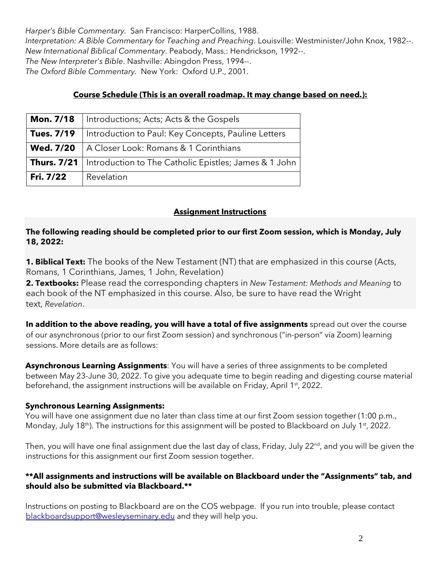*Harper's Bible Commentary.* San Francisco: HarperCollins, 1988. *Interpretation: A Bible Commentary for Teaching and Preaching*. Louisville: Westminister/John Knox, 1982--. *New International Biblical Commentary*. Peabody, Mass.: Hendrickson, 1992--. *The New Interpreter's Bible*. Nashville: Abingdon Press, 1994--. *The Oxford Bible Commentary.* New York: Oxford U.P., 2001.

# **Course Schedule (This is an overall roadmap. It may change based on need.):**

| <b>Mon. 7/18</b>  | Introductions; Acts; Acts & the Gospels                                    |  |  |
|-------------------|----------------------------------------------------------------------------|--|--|
| <b>Tues. 7/19</b> | Introduction to Paul: Key Concepts, Pauline Letters                        |  |  |
| <b>Wed. 7/20</b>  | A Closer Look: Romans & 1 Corinthians                                      |  |  |
|                   | <b>Thurs. 7/21</b>   Introduction to The Catholic Epistles; James & 1 John |  |  |
| Fri. 7/22         | Revelation                                                                 |  |  |

# **Assignment Instructions**

### **The following reading should be completed prior to our first Zoom session, which is Monday, July 18, 2022:**

**1. Biblical Text:** The books of the New Testament (NT) that are emphasized in this course (Acts, Romans, 1 Corinthians, James, 1 John, Revelation)

**2. Textbooks:** Please read the corresponding chapters in *New Testament: Methods and Meaning* to each book of the NT emphasized in this course. Also, be sure to have read the Wright text, *Revelation*.

**In addition to the above reading, you will have a total of five assignments** spread out over the course of our asynchronous (prior to our first Zoom session) and synchronous ("in-person" via Zoom) learning sessions. More details are as follows:

**Asynchronous Learning Assignments**: You will have a series of three assignments to be completed between May 23-June 30, 2022. To give you adequate time to begin reading and digesting course material beforehand, the assignment instructions will be available on Friday, April 1<sup>st</sup>, 2022.

# **Synchronous Learning Assignments:**

You will have one assignment due no later than class time at our first Zoom session together (1:00 p.m., Monday, July 18<sup>th</sup>). The instructions for this assignment will be posted to Blackboard on July 1<sup>st</sup>, 2022.

Then, you will have one final assignment due the last day of class, Friday, July 22<sup>nd</sup>, and you will be given the instructions for this assignment our first Zoom session together.

### **\*\*All assignments and instructions will be available on Blackboard under the "Assignments" tab, and should also be submitted via Blackboard.\*\***

Instructions on posting to Blackboard are on the COS webpage. If you run into trouble, please contact blackboardsupport@wesleyseminary.edu and they will help you.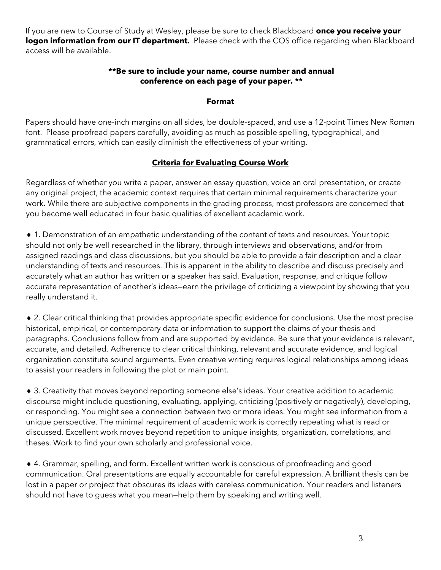If you are new to Course of Study at Wesley, please be sure to check Blackboard **once you receive your logon information from our IT department.** Please check with the COS office regarding when Blackboard access will be available.

#### **\*\*Be sure to include your name, course number and annual conference on each page of your paper. \*\***

#### **Format**

Papers should have one-inch margins on all sides, be double-spaced, and use a 12-point Times New Roman font. Please proofread papers carefully, avoiding as much as possible spelling, typographical, and grammatical errors, which can easily diminish the effectiveness of your writing.

## **Criteria for Evaluating Course Work**

Regardless of whether you write a paper, answer an essay question, voice an oral presentation, or create any original project, the academic context requires that certain minimal requirements characterize your work. While there are subjective components in the grading process, most professors are concerned that you become well educated in four basic qualities of excellent academic work.

 1. Demonstration of an empathetic understanding of the content of texts and resources. Your topic should not only be well researched in the library, through interviews and observations, and/or from assigned readings and class discussions, but you should be able to provide a fair description and a clear understanding of texts and resources. This is apparent in the ability to describe and discuss precisely and accurately what an author has written or a speaker has said. Evaluation, response, and critique follow accurate representation of another's ideas—earn the privilege of criticizing a viewpoint by showing that you really understand it.

 2. Clear critical thinking that provides appropriate specific evidence for conclusions. Use the most precise historical, empirical, or contemporary data or information to support the claims of your thesis and paragraphs. Conclusions follow from and are supported by evidence. Be sure that your evidence is relevant, accurate, and detailed. Adherence to clear critical thinking, relevant and accurate evidence, and logical organization constitute sound arguments. Even creative writing requires logical relationships among ideas to assist your readers in following the plot or main point.

 3. Creativity that moves beyond reporting someone else's ideas. Your creative addition to academic discourse might include questioning, evaluating, applying, criticizing (positively or negatively), developing, or responding. You might see a connection between two or more ideas. You might see information from a unique perspective. The minimal requirement of academic work is correctly repeating what is read or discussed. Excellent work moves beyond repetition to unique insights, organization, correlations, and theses. Work to find your own scholarly and professional voice.

 4. Grammar, spelling, and form. Excellent written work is conscious of proofreading and good communication. Oral presentations are equally accountable for careful expression. A brilliant thesis can be lost in a paper or project that obscures its ideas with careless communication. Your readers and listeners should not have to guess what you mean—help them by speaking and writing well.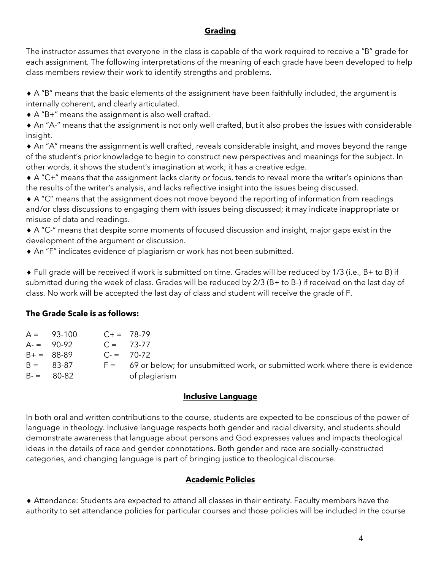# **Grading**

The instructor assumes that everyone in the class is capable of the work required to receive a "B" grade for each assignment. The following interpretations of the meaning of each grade have been developed to help class members review their work to identify strengths and problems.

 A "B" means that the basic elements of the assignment have been faithfully included, the argument is internally coherent, and clearly articulated.

A "B+" means the assignment is also well crafted.

 An "A-" means that the assignment is not only well crafted, but it also probes the issues with considerable insight.

 An "A" means the assignment is well crafted, reveals considerable insight, and moves beyond the range of the student's prior knowledge to begin to construct new perspectives and meanings for the subject. In other words, it shows the student's imagination at work; it has a creative edge.

 A "C+" means that the assignment lacks clarity or focus, tends to reveal more the writer's opinions than the results of the writer's analysis, and lacks reflective insight into the issues being discussed.

 A "C" means that the assignment does not move beyond the reporting of information from readings and/or class discussions to engaging them with issues being discussed; it may indicate inappropriate or misuse of data and readings.

 A "C-" means that despite some moments of focused discussion and insight, major gaps exist in the development of the argument or discussion.

An "F" indicates evidence of plagiarism or work has not been submitted.

 Full grade will be received if work is submitted on time. Grades will be reduced by 1/3 (i.e., B+ to B) if submitted during the week of class. Grades will be reduced by 2/3 (B+ to B-) if received on the last day of class. No work will be accepted the last day of class and student will receive the grade of F.

### **The Grade Scale is as follows:**

| $A = 93-100$ | $C_{+} = 78-79$ |                                                                                    |
|--------------|-----------------|------------------------------------------------------------------------------------|
| $A = 90-92$  | $C = 73-77$     |                                                                                    |
| $B+ = 88-89$ |                 | $C = 70-72$                                                                        |
| $B = 83-87$  |                 | $F =$ 69 or below; for unsubmitted work, or submitted work where there is evidence |
| $B = 80-82$  |                 | of plagiarism                                                                      |

### **Inclusive Language**

In both oral and written contributions to the course, students are expected to be conscious of the power of language in theology. Inclusive language respects both gender and racial diversity, and students should demonstrate awareness that language about persons and God expresses values and impacts theological ideas in the details of race and gender connotations. Both gender and race are socially-constructed categories, and changing language is part of bringing justice to theological discourse.

# **Academic Policies**

 Attendance: Students are expected to attend all classes in their entirety. Faculty members have the authority to set attendance policies for particular courses and those policies will be included in the course